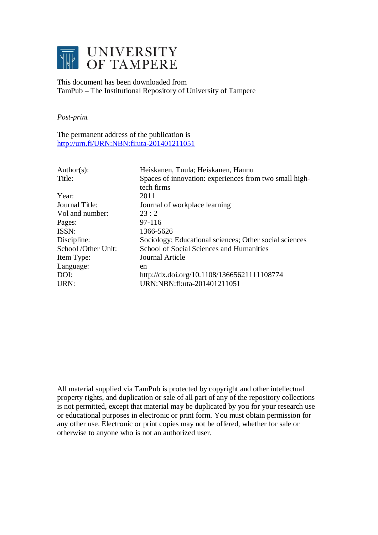

This document has been downloaded from TamPub – The Institutional Repository of University of Tampere

# *Post-print*

The permanent address of the publication is <http://urn.fi/URN:NBN:fi:uta-201401211051>

| $Author(s)$ :       | Heiskanen, Tuula; Heiskanen, Hannu                     |
|---------------------|--------------------------------------------------------|
| Title:              | Spaces of innovation: experiences from two small high- |
|                     | tech firms                                             |
| Year:               | 2011                                                   |
| Journal Title:      | Journal of workplace learning                          |
| Vol and number:     | 23:2                                                   |
| Pages:              | 97-116                                                 |
| ISSN:               | 1366-5626                                              |
| Discipline:         | Sociology; Educational sciences; Other social sciences |
| School /Other Unit: | School of Social Sciences and Humanities               |
| Item Type:          | Journal Article                                        |
| Language:           | en                                                     |
| DOI:                | http://dx.doi.org/10.1108/13665621111108774            |
| URN:                | URN:NBN:fi:uta-201401211051                            |

All material supplied via TamPub is protected by copyright and other intellectual property rights, and duplication or sale of all part of any of the repository collections is not permitted, except that material may be duplicated by you for your research use or educational purposes in electronic or print form. You must obtain permission for any other use. Electronic or print copies may not be offered, whether for sale or otherwise to anyone who is not an authorized user.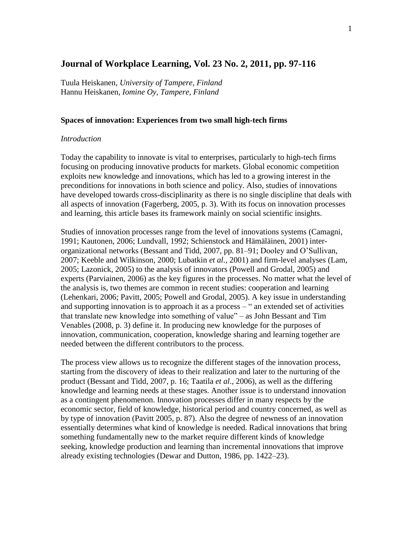# **Journal of Workplace Learning, Vol. 23 No. 2, 2011, pp. 97-116**

Tuula Heiskanen, *University of Tampere, Finland* Hannu Heiskanen, *Iomine Oy, Tampere, Finland*

# **Spaces of innovation: Experiences from two small high-tech firms**

### *Introduction*

Today the capability to innovate is vital to enterprises, particularly to high-tech firms focusing on producing innovative products for markets. Global economic competition exploits new knowledge and innovations, which has led to a growing interest in the preconditions for innovations in both science and policy. Also, studies of innovations have developed towards cross-disciplinarity as there is no single discipline that deals with all aspects of innovation (Fagerberg, 2005, p. 3). With its focus on innovation processes and learning, this article bases its framework mainly on social scientific insights.

Studies of innovation processes range from the level of innovations systems (Camagni, 1991; Kautonen, 2006; Lundvall, 1992; Schienstock and Hämäläinen, 2001) interorganizational networks (Bessant and Tidd, 2007, pp. 81–91; Dooley and O'Sullivan, 2007; Keeble and Wilkinson, 2000; Lubatkin *et al.*, 2001) and firm-level analyses (Lam, 2005; Lazonick, 2005) to the analysis of innovators (Powell and Grodal, 2005) and experts (Parviainen, 2006) as the key figures in the processes. No matter what the level of the analysis is, two themes are common in recent studies: cooperation and learning (Lehenkari, 2006; Pavitt, 2005; Powell and Grodal, 2005). A key issue in understanding and supporting innovation is to approach it as a process – " an extended set of activities that translate new knowledge into something of value" – as John Bessant and Tim Venables (2008, p. 3) define it. In producing new knowledge for the purposes of innovation, communication, cooperation, knowledge sharing and learning together are needed between the different contributors to the process.

The process view allows us to recognize the different stages of the innovation process, starting from the discovery of ideas to their realization and later to the nurturing of the product (Bessant and Tidd, 2007, p. 16; Taatila *et al*., 2006), as well as the differing knowledge and learning needs at these stages. Another issue is to understand innovation as a contingent phenomenon. Innovation processes differ in many respects by the economic sector, field of knowledge, historical period and country concerned, as well as by type of innovation (Pavitt 2005, p. 87). Also the degree of newness of an innovation essentially determines what kind of knowledge is needed. Radical innovations that bring something fundamentally new to the market require different kinds of knowledge seeking, knowledge production and learning than incremental innovations that improve already existing technologies (Dewar and Dutton, 1986, pp. 1422–23).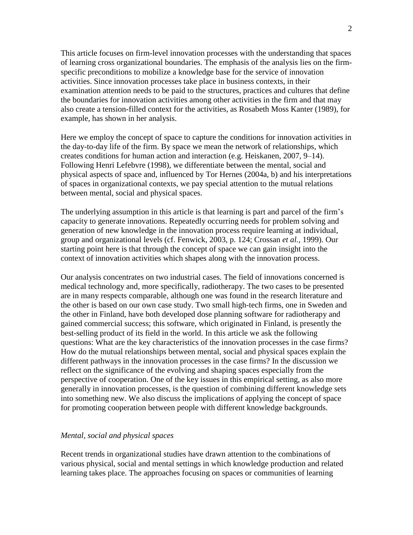This article focuses on firm-level innovation processes with the understanding that spaces of learning cross organizational boundaries. The emphasis of the analysis lies on the firmspecific preconditions to mobilize a knowledge base for the service of innovation activities. Since innovation processes take place in business contexts, in their examination attention needs to be paid to the structures, practices and cultures that define the boundaries for innovation activities among other activities in the firm and that may also create a tension-filled context for the activities, as Rosabeth Moss Kanter (1989), for example, has shown in her analysis.

Here we employ the concept of space to capture the conditions for innovation activities in the day-to-day life of the firm. By space we mean the network of relationships, which creates conditions for human action and interaction (e.g. Heiskanen, 2007, 9–14). Following Henri Lefebvre (1998), we differentiate between the mental, social and physical aspects of space and, influenced by Tor Hernes (2004a, b) and his interpretations of spaces in organizational contexts, we pay special attention to the mutual relations between mental, social and physical spaces.

The underlying assumption in this article is that learning is part and parcel of the firm's capacity to generate innovations. Repeatedly occurring needs for problem solving and generation of new knowledge in the innovation process require learning at individual, group and organizational levels (cf. Fenwick, 2003, p. 124; Crossan *et al.,* 1999). Our starting point here is that through the concept of space we can gain insight into the context of innovation activities which shapes along with the innovation process.

Our analysis concentrates on two industrial cases. The field of innovations concerned is medical technology and, more specifically, radiotherapy. The two cases to be presented are in many respects comparable, although one was found in the research literature and the other is based on our own case study. Two small high-tech firms, one in Sweden and the other in Finland, have both developed dose planning software for radiotherapy and gained commercial success; this software, which originated in Finland, is presently the best-selling product of its field in the world. In this article we ask the following questions: What are the key characteristics of the innovation processes in the case firms? How do the mutual relationships between mental, social and physical spaces explain the different pathways in the innovation processes in the case firms? In the discussion we reflect on the significance of the evolving and shaping spaces especially from the perspective of cooperation. One of the key issues in this empirical setting, as also more generally in innovation processes, is the question of combining different knowledge sets into something new. We also discuss the implications of applying the concept of space for promoting cooperation between people with different knowledge backgrounds.

# *Mental, social and physical spaces*

Recent trends in organizational studies have drawn attention to the combinations of various physical, social and mental settings in which knowledge production and related learning takes place. The approaches focusing on spaces or communities of learning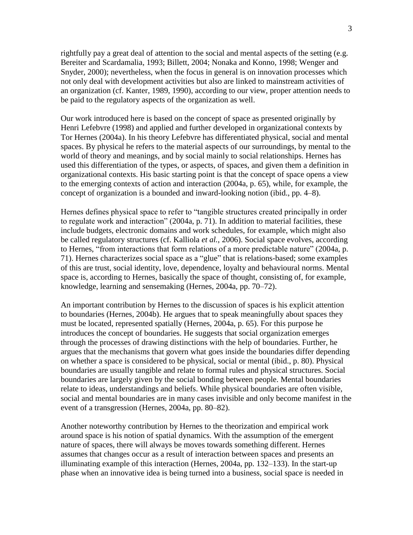rightfully pay a great deal of attention to the social and mental aspects of the setting (e.g. Bereiter and Scardamalia, 1993; Billett, 2004; Nonaka and Konno, 1998; Wenger and Snyder, 2000); nevertheless, when the focus in general is on innovation processes which not only deal with development activities but also are linked to mainstream activities of an organization (cf. Kanter, 1989, 1990), according to our view, proper attention needs to be paid to the regulatory aspects of the organization as well.

Our work introduced here is based on the concept of space as presented originally by Henri Lefebvre (1998) and applied and further developed in organizational contexts by Tor Hernes (2004a). In his theory Lefebvre has differentiated physical, social and mental spaces. By physical he refers to the material aspects of our surroundings, by mental to the world of theory and meanings, and by social mainly to social relationships. Hernes has used this differentiation of the types, or aspects, of spaces, and given them a definition in organizational contexts. His basic starting point is that the concept of space opens a view to the emerging contexts of action and interaction (2004a, p. 65), while, for example, the concept of organization is a bounded and inward-looking notion (ibid., pp. 4–8).

Hernes defines physical space to refer to "tangible structures created principally in order to regulate work and interaction" (2004a, p. 71). In addition to material facilities, these include budgets, electronic domains and work schedules, for example, which might also be called regulatory structures (cf. Kalliola *et al.*, 2006). Social space evolves, according to Hernes, "from interactions that form relations of a more predictable nature" (2004a, p. 71). Hernes characterizes social space as a "glue" that is relations-based; some examples of this are trust, social identity, love, dependence, loyalty and behavioural norms. Mental space is, according to Hernes, basically the space of thought, consisting of, for example, knowledge, learning and sensemaking (Hernes, 2004a, pp. 70–72).

An important contribution by Hernes to the discussion of spaces is his explicit attention to boundaries (Hernes, 2004b). He argues that to speak meaningfully about spaces they must be located, represented spatially (Hernes, 2004a, p. 65). For this purpose he introduces the concept of boundaries. He suggests that social organization emerges through the processes of drawing distinctions with the help of boundaries. Further, he argues that the mechanisms that govern what goes inside the boundaries differ depending on whether a space is considered to be physical, social or mental (ibid., p. 80). Physical boundaries are usually tangible and relate to formal rules and physical structures. Social boundaries are largely given by the social bonding between people. Mental boundaries relate to ideas, understandings and beliefs. While physical boundaries are often visible, social and mental boundaries are in many cases invisible and only become manifest in the event of a transgression (Hernes, 2004a, pp. 80–82).

Another noteworthy contribution by Hernes to the theorization and empirical work around space is his notion of spatial dynamics. With the assumption of the emergent nature of spaces, there will always be moves towards something different. Hernes assumes that changes occur as a result of interaction between spaces and presents an illuminating example of this interaction (Hernes, 2004a, pp. 132–133). In the start-up phase when an innovative idea is being turned into a business, social space is needed in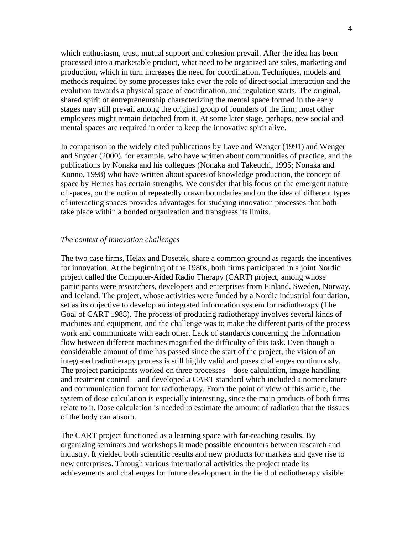which enthusiasm, trust, mutual support and cohesion prevail. After the idea has been processed into a marketable product, what need to be organized are sales, marketing and production, which in turn increases the need for coordination. Techniques, models and methods required by some processes take over the role of direct social interaction and the evolution towards a physical space of coordination, and regulation starts. The original, shared spirit of entrepreneurship characterizing the mental space formed in the early stages may still prevail among the original group of founders of the firm; most other employees might remain detached from it. At some later stage, perhaps, new social and mental spaces are required in order to keep the innovative spirit alive.

In comparison to the widely cited publications by Lave and Wenger (1991) and Wenger and Snyder (2000), for example, who have written about communities of practice, and the publications by Nonaka and his collegues (Nonaka and Takeuchi, 1995; Nonaka and Konno, 1998) who have written about spaces of knowledge production, the concept of space by Hernes has certain strengths. We consider that his focus on the emergent nature of spaces, on the notion of repeatedly drawn boundaries and on the idea of different types of interacting spaces provides advantages for studying innovation processes that both take place within a bonded organization and transgress its limits.

### *The context of innovation challenges*

The two case firms, Helax and Dosetek, share a common ground as regards the incentives for innovation. At the beginning of the 1980s, both firms participated in a joint Nordic project called the Computer-Aided Radio Therapy (CART) project, among whose participants were researchers, developers and enterprises from Finland, Sweden, Norway, and Iceland. The project, whose activities were funded by a Nordic industrial foundation, set as its objective to develop an integrated information system for radiotherapy (The Goal of CART 1988). The process of producing radiotherapy involves several kinds of machines and equipment, and the challenge was to make the different parts of the process work and communicate with each other. Lack of standards concerning the information flow between different machines magnified the difficulty of this task. Even though a considerable amount of time has passed since the start of the project, the vision of an integrated radiotherapy process is still highly valid and poses challenges continuously. The project participants worked on three processes – dose calculation, image handling and treatment control – and developed a CART standard which included a nomenclature and communication format for radiotherapy. From the point of view of this article, the system of dose calculation is especially interesting, since the main products of both firms relate to it. Dose calculation is needed to estimate the amount of radiation that the tissues of the body can absorb.

The CART project functioned as a learning space with far-reaching results. By organizing seminars and workshops it made possible encounters between research and industry. It yielded both scientific results and new products for markets and gave rise to new enterprises. Through various international activities the project made its achievements and challenges for future development in the field of radiotherapy visible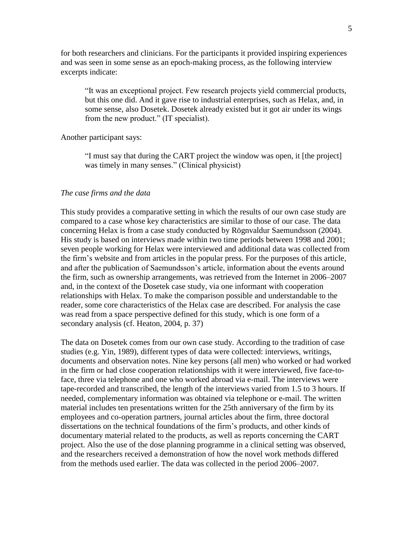for both researchers and clinicians. For the participants it provided inspiring experiences and was seen in some sense as an epoch-making process, as the following interview excerpts indicate:

"It was an exceptional project. Few research projects yield commercial products, but this one did. And it gave rise to industrial enterprises, such as Helax, and, in some sense, also Dosetek. Dosetek already existed but it got air under its wings from the new product." (IT specialist).

Another participant says:

"I must say that during the CART project the window was open, it [the project] was timely in many senses." (Clinical physicist)

# *The case firms and the data*

This study provides a comparative setting in which the results of our own case study are compared to a case whose key characteristics are similar to those of our case. The data concerning Helax is from a case study conducted by Rögnvaldur Saemundsson (2004). His study is based on interviews made within two time periods between 1998 and 2001; seven people working for Helax were interviewed and additional data was collected from the firm's website and from articles in the popular press. For the purposes of this article, and after the publication of Saemundsson's article, information about the events around the firm, such as ownership arrangements, was retrieved from the Internet in 2006–2007 and, in the context of the Dosetek case study, via one informant with cooperation relationships with Helax. To make the comparison possible and understandable to the reader, some core characteristics of the Helax case are described. For analysis the case was read from a space perspective defined for this study, which is one form of a secondary analysis (cf. Heaton, 2004, p. 37)

The data on Dosetek comes from our own case study. According to the tradition of case studies (e.g. Yin, 1989), different types of data were collected: interviews, writings, documents and observation notes. Nine key persons (all men) who worked or had worked in the firm or had close cooperation relationships with it were interviewed, five face-toface, three via telephone and one who worked abroad via e-mail. The interviews were tape-recorded and transcribed, the length of the interviews varied from 1.5 to 3 hours. If needed, complementary information was obtained via telephone or e-mail. The written material includes ten presentations written for the 25th anniversary of the firm by its employees and co-operation partners, journal articles about the firm, three doctoral dissertations on the technical foundations of the firm's products, and other kinds of documentary material related to the products, as well as reports concerning the CART project. Also the use of the dose planning programme in a clinical setting was observed, and the researchers received a demonstration of how the novel work methods differed from the methods used earlier. The data was collected in the period 2006–2007.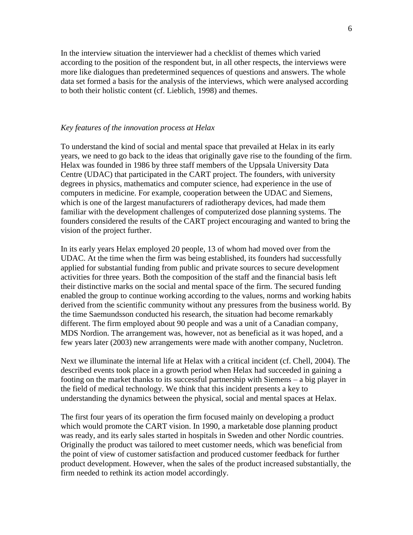In the interview situation the interviewer had a checklist of themes which varied according to the position of the respondent but, in all other respects, the interviews were more like dialogues than predetermined sequences of questions and answers. The whole data set formed a basis for the analysis of the interviews, which were analysed according to both their holistic content (cf. Lieblich, 1998) and themes.

#### *Key features of the innovation process at Helax*

To understand the kind of social and mental space that prevailed at Helax in its early years, we need to go back to the ideas that originally gave rise to the founding of the firm. Helax was founded in 1986 by three staff members of the Uppsala University Data Centre (UDAC) that participated in the CART project. The founders, with university degrees in physics, mathematics and computer science, had experience in the use of computers in medicine. For example, cooperation between the UDAC and Siemens, which is one of the largest manufacturers of radiotherapy devices, had made them familiar with the development challenges of computerized dose planning systems. The founders considered the results of the CART project encouraging and wanted to bring the vision of the project further.

In its early years Helax employed 20 people, 13 of whom had moved over from the UDAC. At the time when the firm was being established, its founders had successfully applied for substantial funding from public and private sources to secure development activities for three years. Both the composition of the staff and the financial basis left their distinctive marks on the social and mental space of the firm. The secured funding enabled the group to continue working according to the values, norms and working habits derived from the scientific community without any pressures from the business world. By the time Saemundsson conducted his research, the situation had become remarkably different. The firm employed about 90 people and was a unit of a Canadian company, MDS Nordion. The arrangement was, however, not as beneficial as it was hoped, and a few years later (2003) new arrangements were made with another company, Nucletron.

Next we illuminate the internal life at Helax with a critical incident (cf. Chell, 2004). The described events took place in a growth period when Helax had succeeded in gaining a footing on the market thanks to its successful partnership with Siemens – a big player in the field of medical technology. We think that this incident presents a key to understanding the dynamics between the physical, social and mental spaces at Helax.

The first four years of its operation the firm focused mainly on developing a product which would promote the CART vision. In 1990, a marketable dose planning product was ready, and its early sales started in hospitals in Sweden and other Nordic countries. Originally the product was tailored to meet customer needs, which was beneficial from the point of view of customer satisfaction and produced customer feedback for further product development. However, when the sales of the product increased substantially, the firm needed to rethink its action model accordingly.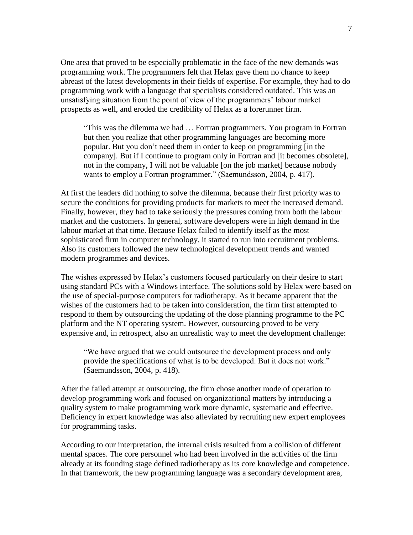One area that proved to be especially problematic in the face of the new demands was programming work. The programmers felt that Helax gave them no chance to keep abreast of the latest developments in their fields of expertise. For example, they had to do programming work with a language that specialists considered outdated. This was an unsatisfying situation from the point of view of the programmers' labour market prospects as well, and eroded the credibility of Helax as a forerunner firm.

"This was the dilemma we had … Fortran programmers. You program in Fortran but then you realize that other programming languages are becoming more popular. But you don't need them in order to keep on programming [in the company]. But if I continue to program only in Fortran and [it becomes obsolete], not in the company, I will not be valuable [on the job market] because nobody wants to employ a Fortran programmer." (Saemundsson, 2004, p. 417).

At first the leaders did nothing to solve the dilemma, because their first priority was to secure the conditions for providing products for markets to meet the increased demand. Finally, however, they had to take seriously the pressures coming from both the labour market and the customers. In general, software developers were in high demand in the labour market at that time. Because Helax failed to identify itself as the most sophisticated firm in computer technology, it started to run into recruitment problems. Also its customers followed the new technological development trends and wanted modern programmes and devices.

The wishes expressed by Helax's customers focused particularly on their desire to start using standard PCs with a Windows interface. The solutions sold by Helax were based on the use of special-purpose computers for radiotherapy. As it became apparent that the wishes of the customers had to be taken into consideration, the firm first attempted to respond to them by outsourcing the updating of the dose planning programme to the PC platform and the NT operating system. However, outsourcing proved to be very expensive and, in retrospect, also an unrealistic way to meet the development challenge:

"We have argued that we could outsource the development process and only provide the specifications of what is to be developed. But it does not work." (Saemundsson, 2004, p. 418).

After the failed attempt at outsourcing, the firm chose another mode of operation to develop programming work and focused on organizational matters by introducing a quality system to make programming work more dynamic, systematic and effective. Deficiency in expert knowledge was also alleviated by recruiting new expert employees for programming tasks.

According to our interpretation, the internal crisis resulted from a collision of different mental spaces. The core personnel who had been involved in the activities of the firm already at its founding stage defined radiotherapy as its core knowledge and competence. In that framework, the new programming language was a secondary development area,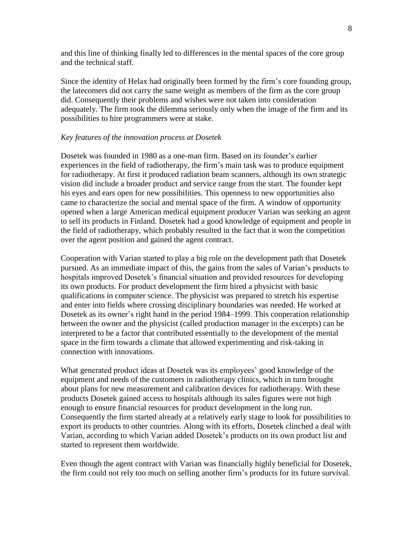and this line of thinking finally led to differences in the mental spaces of the core group and the technical staff.

Since the identity of Helax had originally been formed by the firm's core founding group, the latecomers did not carry the same weight as members of the firm as the core group did. Consequently their problems and wishes were not taken into consideration adequately. The firm took the dilemma seriously only when the image of the firm and its possibilities to hire programmers were at stake.

# *Key features of the innovation process at Dosetek*

Dosetek was founded in 1980 as a one-man firm. Based on its founder's earlier experiences in the field of radiotherapy, the firm's main task was to produce equipment for radiotherapy. At first it produced radiation beam scanners, although its own strategic vision did include a broader product and service range from the start. The founder kept his eyes and ears open for new possibilities. This openness to new opportunities also came to characterize the social and mental space of the firm. A window of opportunity opened when a large American medical equipment producer Varian was seeking an agent to sell its products in Finland. Dosetek had a good knowledge of equipment and people in the field of radiotherapy, which probably resulted in the fact that it won the competition over the agent position and gained the agent contract.

Cooperation with Varian started to play a big role on the development path that Dosetek pursued. As an immediate impact of this, the gains from the sales of Varian's products to hospitals improved Dosetek's financial situation and provided resources for developing its own products. For product development the firm hired a physicist with basic qualifications in computer science. The physicist was prepared to stretch his expertise and enter into fields where crossing disciplinary boundaries was needed. He worked at Dosetek as its owner's right hand in the period 1984–1999. This cooperation relationship between the owner and the physicist (called production manager in the excerpts) can be interpreted to be a factor that contributed essentially to the development of the mental space in the firm towards a climate that allowed experimenting and risk-taking in connection with innovations.

What generated product ideas at Dosetek was its employees' good knowledge of the equipment and needs of the customers in radiotherapy clinics, which in turn brought about plans for new measurement and calibration devices for radiotherapy. With these products Dosetek gained access to hospitals although its sales figures were not high enough to ensure financial resources for product development in the long run. Consequently the firm started already at a relatively early stage to look for possibilities to export its products to other countries. Along with its efforts, Dosetek clinched a deal with Varian, according to which Varian added Dosetek's products on its own product list and started to represent them worldwide.

Even though the agent contract with Varian was financially highly beneficial for Dosetek, the firm could not rely too much on selling another firm's products for its future survival.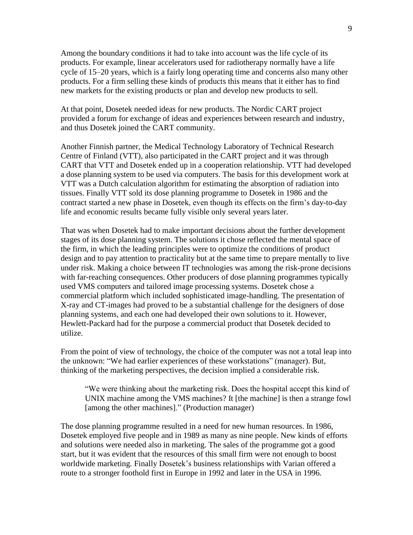Among the boundary conditions it had to take into account was the life cycle of its products. For example, linear accelerators used for radiotherapy normally have a life cycle of 15–20 years, which is a fairly long operating time and concerns also many other products. For a firm selling these kinds of products this means that it either has to find new markets for the existing products or plan and develop new products to sell.

At that point, Dosetek needed ideas for new products. The Nordic CART project provided a forum for exchange of ideas and experiences between research and industry, and thus Dosetek joined the CART community.

Another Finnish partner, the Medical Technology Laboratory of Technical Research Centre of Finland (VTT), also participated in the CART project and it was through CART that VTT and Dosetek ended up in a cooperation relationship. VTT had developed a dose planning system to be used via computers. The basis for this development work at VTT was a Dutch calculation algorithm for estimating the absorption of radiation into tissues. Finally VTT sold its dose planning programme to Dosetek in 1986 and the contract started a new phase in Dosetek, even though its effects on the firm's day-to-day life and economic results became fully visible only several years later.

That was when Dosetek had to make important decisions about the further development stages of its dose planning system. The solutions it chose reflected the mental space of the firm, in which the leading principles were to optimize the conditions of product design and to pay attention to practicality but at the same time to prepare mentally to live under risk. Making a choice between IT technologies was among the risk-prone decisions with far-reaching consequences. Other producers of dose planning programmes typically used VMS computers and tailored image processing systems. Dosetek chose a commercial platform which included sophisticated image-handling. The presentation of X-ray and CT-images had proved to be a substantial challenge for the designers of dose planning systems, and each one had developed their own solutions to it. However, Hewlett-Packard had for the purpose a commercial product that Dosetek decided to utilize.

From the point of view of technology, the choice of the computer was not a total leap into the unknown: "We had earlier experiences of these workstations" (manager). But, thinking of the marketing perspectives, the decision implied a considerable risk.

"We were thinking about the marketing risk. Does the hospital accept this kind of UNIX machine among the VMS machines? It [the machine] is then a strange fowl [among the other machines]." (Production manager)

The dose planning programme resulted in a need for new human resources. In 1986, Dosetek employed five people and in 1989 as many as nine people. New kinds of efforts and solutions were needed also in marketing. The sales of the programme got a good start, but it was evident that the resources of this small firm were not enough to boost worldwide marketing. Finally Dosetek's business relationships with Varian offered a route to a stronger foothold first in Europe in 1992 and later in the USA in 1996.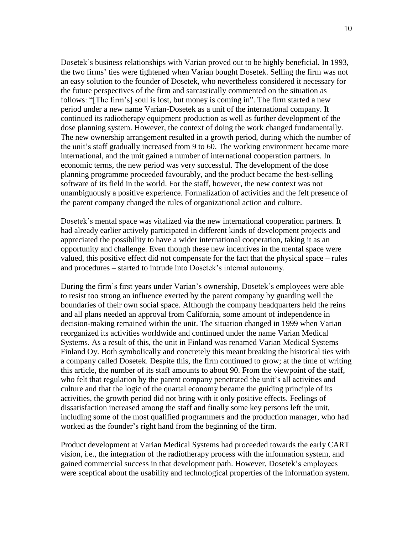Dosetek's business relationships with Varian proved out to be highly beneficial. In 1993, the two firms' ties were tightened when Varian bought Dosetek. Selling the firm was not an easy solution to the founder of Dosetek, who nevertheless considered it necessary for the future perspectives of the firm and sarcastically commented on the situation as follows: "[The firm's] soul is lost, but money is coming in". The firm started a new period under a new name Varian-Dosetek as a unit of the international company. It continued its radiotherapy equipment production as well as further development of the dose planning system. However, the context of doing the work changed fundamentally. The new ownership arrangement resulted in a growth period, during which the number of the unit's staff gradually increased from 9 to 60. The working environment became more international, and the unit gained a number of international cooperation partners. In economic terms, the new period was very successful. The development of the dose planning programme proceeded favourably, and the product became the best-selling software of its field in the world. For the staff, however, the new context was not unambiguously a positive experience. Formalization of activities and the felt presence of the parent company changed the rules of organizational action and culture.

Dosetek's mental space was vitalized via the new international cooperation partners. It had already earlier actively participated in different kinds of development projects and appreciated the possibility to have a wider international cooperation, taking it as an opportunity and challenge. Even though these new incentives in the mental space were valued, this positive effect did not compensate for the fact that the physical space – rules and procedures – started to intrude into Dosetek's internal autonomy.

During the firm's first years under Varian's ownership, Dosetek's employees were able to resist too strong an influence exerted by the parent company by guarding well the boundaries of their own social space. Although the company headquarters held the reins and all plans needed an approval from California, some amount of independence in decision-making remained within the unit. The situation changed in 1999 when Varian reorganized its activities worldwide and continued under the name Varian Medical Systems. As a result of this, the unit in Finland was renamed Varian Medical Systems Finland Oy. Both symbolically and concretely this meant breaking the historical ties with a company called Dosetek. Despite this, the firm continued to grow; at the time of writing this article, the number of its staff amounts to about 90. From the viewpoint of the staff, who felt that regulation by the parent company penetrated the unit's all activities and culture and that the logic of the quartal economy became the guiding principle of its activities, the growth period did not bring with it only positive effects. Feelings of dissatisfaction increased among the staff and finally some key persons left the unit, including some of the most qualified programmers and the production manager, who had worked as the founder's right hand from the beginning of the firm.

Product development at Varian Medical Systems had proceeded towards the early CART vision, i.e., the integration of the radiotherapy process with the information system, and gained commercial success in that development path. However, Dosetek's employees were sceptical about the usability and technological properties of the information system.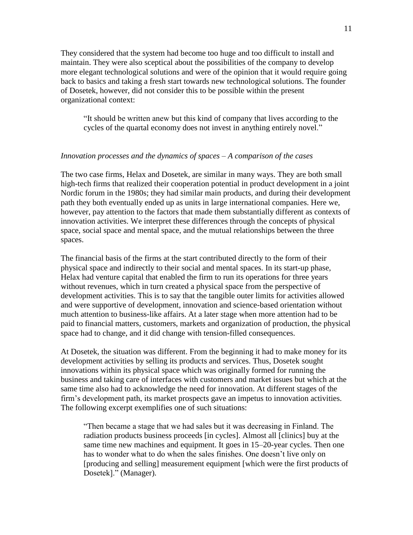They considered that the system had become too huge and too difficult to install and maintain. They were also sceptical about the possibilities of the company to develop more elegant technological solutions and were of the opinion that it would require going back to basics and taking a fresh start towards new technological solutions. The founder of Dosetek, however, did not consider this to be possible within the present organizational context:

"It should be written anew but this kind of company that lives according to the cycles of the quartal economy does not invest in anything entirely novel."

# *Innovation processes and the dynamics of spaces – A comparison of the cases*

The two case firms, Helax and Dosetek, are similar in many ways. They are both small high-tech firms that realized their cooperation potential in product development in a joint Nordic forum in the 1980s; they had similar main products, and during their development path they both eventually ended up as units in large international companies. Here we, however, pay attention to the factors that made them substantially different as contexts of innovation activities. We interpret these differences through the concepts of physical space, social space and mental space, and the mutual relationships between the three spaces.

The financial basis of the firms at the start contributed directly to the form of their physical space and indirectly to their social and mental spaces. In its start-up phase, Helax had venture capital that enabled the firm to run its operations for three years without revenues, which in turn created a physical space from the perspective of development activities. This is to say that the tangible outer limits for activities allowed and were supportive of development, innovation and science-based orientation without much attention to business-like affairs. At a later stage when more attention had to be paid to financial matters, customers, markets and organization of production, the physical space had to change, and it did change with tension-filled consequences.

At Dosetek, the situation was different. From the beginning it had to make money for its development activities by selling its products and services. Thus, Dosetek sought innovations within its physical space which was originally formed for running the business and taking care of interfaces with customers and market issues but which at the same time also had to acknowledge the need for innovation. At different stages of the firm's development path, its market prospects gave an impetus to innovation activities. The following excerpt exemplifies one of such situations:

"Then became a stage that we had sales but it was decreasing in Finland. The radiation products business proceeds [in cycles]. Almost all [clinics] buy at the same time new machines and equipment. It goes in 15–20-year cycles. Then one has to wonder what to do when the sales finishes. One doesn't live only on [producing and selling] measurement equipment [which were the first products of Dosetek]." (Manager).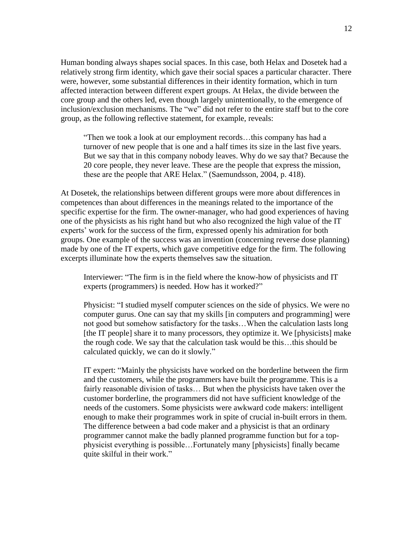Human bonding always shapes social spaces. In this case, both Helax and Dosetek had a relatively strong firm identity, which gave their social spaces a particular character. There were, however, some substantial differences in their identity formation, which in turn affected interaction between different expert groups. At Helax, the divide between the core group and the others led, even though largely unintentionally, to the emergence of inclusion/exclusion mechanisms. The "we" did not refer to the entire staff but to the core group, as the following reflective statement, for example, reveals:

"Then we took a look at our employment records…this company has had a turnover of new people that is one and a half times its size in the last five years. But we say that in this company nobody leaves. Why do we say that? Because the 20 core people, they never leave. These are the people that express the mission, these are the people that ARE Helax." (Saemundsson, 2004, p. 418).

At Dosetek, the relationships between different groups were more about differences in competences than about differences in the meanings related to the importance of the specific expertise for the firm. The owner-manager, who had good experiences of having one of the physicists as his right hand but who also recognized the high value of the IT experts' work for the success of the firm, expressed openly his admiration for both groups. One example of the success was an invention (concerning reverse dose planning) made by one of the IT experts, which gave competitive edge for the firm. The following excerpts illuminate how the experts themselves saw the situation.

Interviewer: "The firm is in the field where the know-how of physicists and IT experts (programmers) is needed. How has it worked?"

Physicist: "I studied myself computer sciences on the side of physics. We were no computer gurus. One can say that my skills [in computers and programming] were not good but somehow satisfactory for the tasks…When the calculation lasts long [the IT people] share it to many processors, they optimize it. We [physicists] make the rough code. We say that the calculation task would be this…this should be calculated quickly, we can do it slowly."

IT expert: "Mainly the physicists have worked on the borderline between the firm and the customers, while the programmers have built the programme. This is a fairly reasonable division of tasks… But when the physicists have taken over the customer borderline, the programmers did not have sufficient knowledge of the needs of the customers. Some physicists were awkward code makers: intelligent enough to make their programmes work in spite of crucial in-built errors in them. The difference between a bad code maker and a physicist is that an ordinary programmer cannot make the badly planned programme function but for a topphysicist everything is possible…Fortunately many [physicists] finally became quite skilful in their work."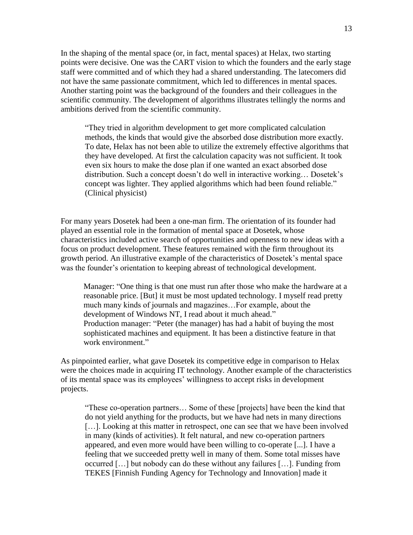In the shaping of the mental space (or, in fact, mental spaces) at Helax, two starting points were decisive. One was the CART vision to which the founders and the early stage staff were committed and of which they had a shared understanding. The latecomers did not have the same passionate commitment, which led to differences in mental spaces. Another starting point was the background of the founders and their colleagues in the scientific community. The development of algorithms illustrates tellingly the norms and ambitions derived from the scientific community.

"They tried in algorithm development to get more complicated calculation methods, the kinds that would give the absorbed dose distribution more exactly. To date, Helax has not been able to utilize the extremely effective algorithms that they have developed. At first the calculation capacity was not sufficient. It took even six hours to make the dose plan if one wanted an exact absorbed dose distribution. Such a concept doesn't do well in interactive working… Dosetek's concept was lighter. They applied algorithms which had been found reliable." (Clinical physicist)

For many years Dosetek had been a one-man firm. The orientation of its founder had played an essential role in the formation of mental space at Dosetek, whose characteristics included active search of opportunities and openness to new ideas with a focus on product development. These features remained with the firm throughout its growth period. An illustrative example of the characteristics of Dosetek's mental space was the founder's orientation to keeping abreast of technological development.

Manager: "One thing is that one must run after those who make the hardware at a reasonable price. [But] it must be most updated technology. I myself read pretty much many kinds of journals and magazines…For example, about the development of Windows NT, I read about it much ahead." Production manager: "Peter (the manager) has had a habit of buying the most sophisticated machines and equipment. It has been a distinctive feature in that work environment."

As pinpointed earlier, what gave Dosetek its competitive edge in comparison to Helax were the choices made in acquiring IT technology. Another example of the characteristics of its mental space was its employees' willingness to accept risks in development projects.

"These co-operation partners… Some of these [projects] have been the kind that do not yield anything for the products, but we have had nets in many directions [...]. Looking at this matter in retrospect, one can see that we have been involved in many (kinds of activities). It felt natural, and new co-operation partners appeared, and even more would have been willing to co-operate [...]. I have a feeling that we succeeded pretty well in many of them. Some total misses have occurred […] but nobody can do these without any failures […]. Funding from TEKES [Finnish Funding Agency for Technology and Innovation] made it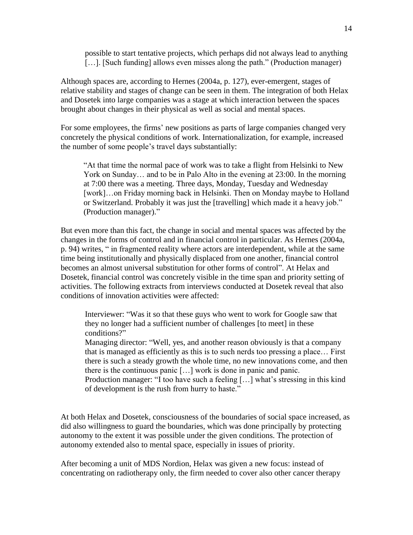possible to start tentative projects, which perhaps did not always lead to anything [...]. [Such funding] allows even misses along the path." (Production manager)

Although spaces are, according to Hernes (2004a, p. 127), ever-emergent, stages of relative stability and stages of change can be seen in them. The integration of both Helax and Dosetek into large companies was a stage at which interaction between the spaces brought about changes in their physical as well as social and mental spaces.

For some employees, the firms' new positions as parts of large companies changed very concretely the physical conditions of work. Internationalization, for example, increased the number of some people's travel days substantially:

"At that time the normal pace of work was to take a flight from Helsinki to New York on Sunday… and to be in Palo Alto in the evening at 23:00. In the morning at 7:00 there was a meeting. Three days, Monday, Tuesday and Wednesday [work]...on Friday morning back in Helsinki. Then on Monday maybe to Holland or Switzerland. Probably it was just the [travelling] which made it a heavy job." (Production manager)."

But even more than this fact, the change in social and mental spaces was affected by the changes in the forms of control and in financial control in particular. As Hernes (2004a, p. 94) writes, " in fragmented reality where actors are interdependent, while at the same time being institutionally and physically displaced from one another, financial control becomes an almost universal substitution for other forms of control". At Helax and Dosetek, financial control was concretely visible in the time span and priority setting of activities. The following extracts from interviews conducted at Dosetek reveal that also conditions of innovation activities were affected:

Interviewer: "Was it so that these guys who went to work for Google saw that they no longer had a sufficient number of challenges [to meet] in these conditions?"

Managing director: "Well, yes, and another reason obviously is that a company that is managed as efficiently as this is to such nerds too pressing a place… First there is such a steady growth the whole time, no new innovations come, and then there is the continuous panic […] work is done in panic and panic.

Production manager: "I too have such a feeling […] what's stressing in this kind of development is the rush from hurry to haste."

At both Helax and Dosetek, consciousness of the boundaries of social space increased, as did also willingness to guard the boundaries, which was done principally by protecting autonomy to the extent it was possible under the given conditions. The protection of autonomy extended also to mental space, especially in issues of priority.

After becoming a unit of MDS Nordion, Helax was given a new focus: instead of concentrating on radiotherapy only, the firm needed to cover also other cancer therapy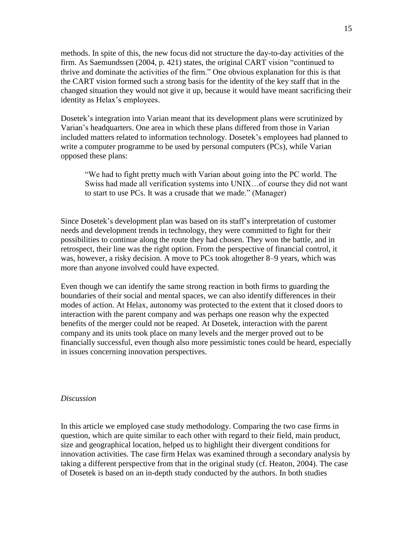methods. In spite of this, the new focus did not structure the day-to-day activities of the firm. As Saemundssen (2004, p. 421) states, the original CART vision "continued to thrive and dominate the activities of the firm." One obvious explanation for this is that the CART vision formed such a strong basis for the identity of the key staff that in the changed situation they would not give it up, because it would have meant sacrificing their identity as Helax's employees.

Dosetek's integration into Varian meant that its development plans were scrutinized by Varian's headquarters. One area in which these plans differed from those in Varian included matters related to information technology. Dosetek's employees had planned to write a computer programme to be used by personal computers (PCs), while Varian opposed these plans:

"We had to fight pretty much with Varian about going into the PC world. The Swiss had made all verification systems into UNIX…of course they did not want to start to use PCs. It was a crusade that we made." (Manager)

Since Dosetek's development plan was based on its staff's interpretation of customer needs and development trends in technology, they were committed to fight for their possibilities to continue along the route they had chosen. They won the battle, and in retrospect, their line was the right option. From the perspective of financial control, it was, however, a risky decision. A move to PCs took altogether 8–9 years, which was more than anyone involved could have expected.

Even though we can identify the same strong reaction in both firms to guarding the boundaries of their social and mental spaces, we can also identify differences in their modes of action. At Helax, autonomy was protected to the extent that it closed doors to interaction with the parent company and was perhaps one reason why the expected benefits of the merger could not be reaped. At Dosetek, interaction with the parent company and its units took place on many levels and the merger proved out to be financially successful, even though also more pessimistic tones could be heard, especially in issues concerning innovation perspectives.

### *Discussion*

In this article we employed case study methodology. Comparing the two case firms in question, which are quite similar to each other with regard to their field, main product, size and geographical location, helped us to highlight their divergent conditions for innovation activities. The case firm Helax was examined through a secondary analysis by taking a different perspective from that in the original study (cf. Heaton, 2004). The case of Dosetek is based on an in-depth study conducted by the authors. In both studies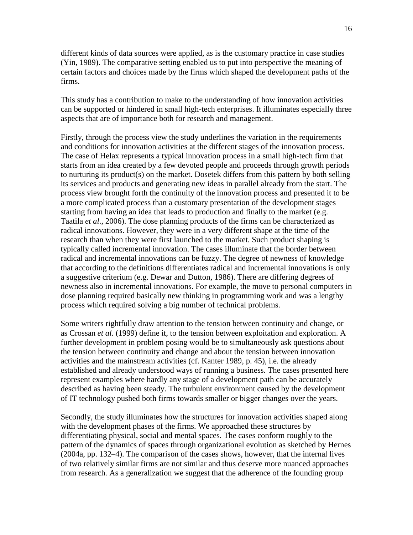different kinds of data sources were applied, as is the customary practice in case studies (Yin, 1989). The comparative setting enabled us to put into perspective the meaning of certain factors and choices made by the firms which shaped the development paths of the firms.

This study has a contribution to make to the understanding of how innovation activities can be supported or hindered in small high-tech enterprises. It illuminates especially three aspects that are of importance both for research and management.

Firstly, through the process view the study underlines the variation in the requirements and conditions for innovation activities at the different stages of the innovation process. The case of Helax represents a typical innovation process in a small high-tech firm that starts from an idea created by a few devoted people and proceeds through growth periods to nurturing its product(s) on the market. Dosetek differs from this pattern by both selling its services and products and generating new ideas in parallel already from the start. The process view brought forth the continuity of the innovation process and presented it to be a more complicated process than a customary presentation of the development stages starting from having an idea that leads to production and finally to the market (e.g. Taatila *et al*., 2006). The dose planning products of the firms can be characterized as radical innovations. However, they were in a very different shape at the time of the research than when they were first launched to the market. Such product shaping is typically called incremental innovation. The cases illuminate that the border between radical and incremental innovations can be fuzzy. The degree of newness of knowledge that according to the definitions differentiates radical and incremental innovations is only a suggestive criterium (e.g. Dewar and Dutton, 1986). There are differing degrees of newness also in incremental innovations. For example, the move to personal computers in dose planning required basically new thinking in programming work and was a lengthy process which required solving a big number of technical problems.

Some writers rightfully draw attention to the tension between continuity and change, or as Crossan *et al*. (1999) define it, to the tension between exploitation and exploration. A further development in problem posing would be to simultaneously ask questions about the tension between continuity and change and about the tension between innovation activities and the mainstream activities (cf. Kanter 1989, p. 45), i.e. the already established and already understood ways of running a business. The cases presented here represent examples where hardly any stage of a development path can be accurately described as having been steady. The turbulent environment caused by the development of IT technology pushed both firms towards smaller or bigger changes over the years.

Secondly, the study illuminates how the structures for innovation activities shaped along with the development phases of the firms. We approached these structures by differentiating physical, social and mental spaces. The cases conform roughly to the pattern of the dynamics of spaces through organizational evolution as sketched by Hernes (2004a, pp. 132–4). The comparison of the cases shows, however, that the internal lives of two relatively similar firms are not similar and thus deserve more nuanced approaches from research. As a generalization we suggest that the adherence of the founding group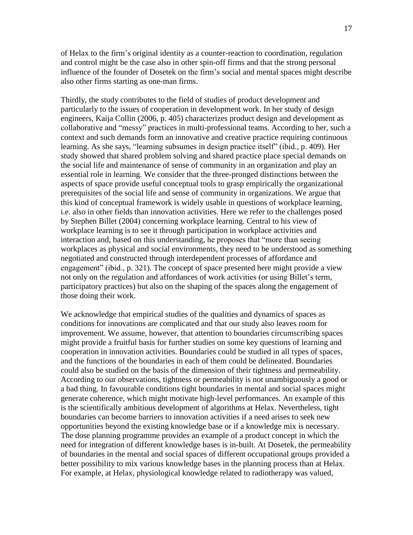of Helax to the firm's original identity as a counter-reaction to coordination, regulation and control might be the case also in other spin-off firms and that the strong personal influence of the founder of Dosetek on the firm's social and mental spaces might describe also other firms starting as one-man firms.

Thirdly, the study contributes to the field of studies of product development and particularly to the issues of cooperation in development work. In her study of design engineers, Kaija Collin (2006, p. 405) characterizes product design and development as collaborative and "messy" practices in multi-professional teams. According to her, such a context and such demands form an innovative and creative practice requiring continuous learning. As she says, "learning subsumes in design practice itself" (ibid., p. 409). Her study showed that shared problem solving and shared practice place special demands on the social life and maintenance of sense of community in an organization and play an essential role in learning. We consider that the three-pronged distinctions between the aspects of space provide useful conceptual tools to grasp empirically the organizational prerequisites of the social life and sense of community in organizations. We argue that this kind of conceptual framework is widely usable in questions of workplace learning, i.e. also in other fields than innovation activities. Here we refer to the challenges posed by Stephen Billet (2004) concerning workplace learning. Central to his view of workplace learning is to see it through participation in workplace activities and interaction and, based on this understanding, he proposes that "more than seeing workplaces as physical and social environments, they need to be understood as something negotiated and constructed through interdependent processes of affordance and engagement" (ibid., p. 321). The concept of space presented here might provide a view not only on the regulation and affordances of work activities (or using Billet's term, participatory practices) but also on the shaping of the spaces along the engagement of those doing their work.

We acknowledge that empirical studies of the qualities and dynamics of spaces as conditions for innovations are complicated and that our study also leaves room for improvement. We assume, however, that attention to boundaries circumscribing spaces might provide a fruitful basis for further studies on some key questions of learning and cooperation in innovation activities. Boundaries could be studied in all types of spaces, and the functions of the boundaries in each of them could be delineated. Boundaries could also be studied on the basis of the dimension of their tightness and permeability. According to our observations, tightness or permeability is not unambiguously a good or a bad thing. In favourable conditions tight boundaries in mental and social spaces might generate coherence, which might motivate high-level performances. An example of this is the scientifically ambitious development of algorithms at Helax. Nevertheless, tight boundaries can become barriers to innovation activities if a need arises to seek new opportunities beyond the existing knowledge base or if a knowledge mix is necessary. The dose planning programme provides an example of a product concept in which the need for integration of different knowledge bases is in-built. At Dosetek, the permeability of boundaries in the mental and social spaces of different occupational groups provided a better possibility to mix various knowledge bases in the planning process than at Helax. For example, at Helax, physiological knowledge related to radiotherapy was valued,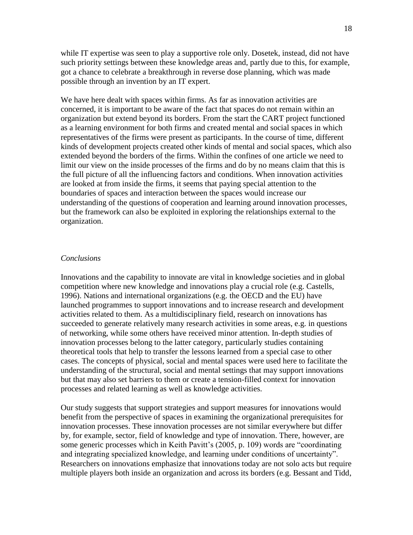while IT expertise was seen to play a supportive role only. Dosetek, instead, did not have such priority settings between these knowledge areas and, partly due to this, for example, got a chance to celebrate a breakthrough in reverse dose planning, which was made possible through an invention by an IT expert.

We have here dealt with spaces within firms. As far as innovation activities are concerned, it is important to be aware of the fact that spaces do not remain within an organization but extend beyond its borders. From the start the CART project functioned as a learning environment for both firms and created mental and social spaces in which representatives of the firms were present as participants. In the course of time, different kinds of development projects created other kinds of mental and social spaces, which also extended beyond the borders of the firms. Within the confines of one article we need to limit our view on the inside processes of the firms and do by no means claim that this is the full picture of all the influencing factors and conditions. When innovation activities are looked at from inside the firms, it seems that paying special attention to the boundaries of spaces and interaction between the spaces would increase our understanding of the questions of cooperation and learning around innovation processes, but the framework can also be exploited in exploring the relationships external to the organization.

# *Conclusions*

Innovations and the capability to innovate are vital in knowledge societies and in global competition where new knowledge and innovations play a crucial role (e.g. Castells, 1996). Nations and international organizations (e.g. the OECD and the EU) have launched programmes to support innovations and to increase research and development activities related to them. As a multidisciplinary field, research on innovations has succeeded to generate relatively many research activities in some areas, e.g. in questions of networking, while some others have received minor attention. In-depth studies of innovation processes belong to the latter category, particularly studies containing theoretical tools that help to transfer the lessons learned from a special case to other cases. The concepts of physical, social and mental spaces were used here to facilitate the understanding of the structural, social and mental settings that may support innovations but that may also set barriers to them or create a tension-filled context for innovation processes and related learning as well as knowledge activities.

Our study suggests that support strategies and support measures for innovations would benefit from the perspective of spaces in examining the organizational prerequisites for innovation processes. These innovation processes are not similar everywhere but differ by, for example, sector, field of knowledge and type of innovation. There, however, are some generic processes which in Keith Pavitt's (2005, p. 109) words are "coordinating and integrating specialized knowledge, and learning under conditions of uncertainty". Researchers on innovations emphasize that innovations today are not solo acts but require multiple players both inside an organization and across its borders (e.g. Bessant and Tidd,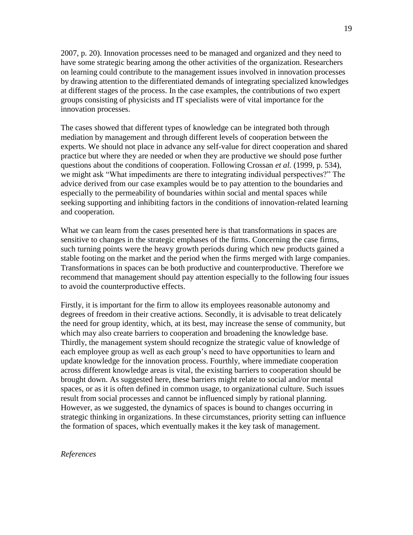2007, p. 20). Innovation processes need to be managed and organized and they need to have some strategic bearing among the other activities of the organization. Researchers on learning could contribute to the management issues involved in innovation processes by drawing attention to the differentiated demands of integrating specialized knowledges at different stages of the process. In the case examples, the contributions of two expert groups consisting of physicists and IT specialists were of vital importance for the innovation processes.

The cases showed that different types of knowledge can be integrated both through mediation by management and through different levels of cooperation between the experts. We should not place in advance any self-value for direct cooperation and shared practice but where they are needed or when they are productive we should pose further questions about the conditions of cooperation. Following Crossan *et al.* (1999, p. 534), we might ask "What impediments are there to integrating individual perspectives?" The advice derived from our case examples would be to pay attention to the boundaries and especially to the permeability of boundaries within social and mental spaces while seeking supporting and inhibiting factors in the conditions of innovation-related learning and cooperation.

What we can learn from the cases presented here is that transformations in spaces are sensitive to changes in the strategic emphases of the firms. Concerning the case firms, such turning points were the heavy growth periods during which new products gained a stable footing on the market and the period when the firms merged with large companies. Transformations in spaces can be both productive and counterproductive. Therefore we recommend that management should pay attention especially to the following four issues to avoid the counterproductive effects.

Firstly, it is important for the firm to allow its employees reasonable autonomy and degrees of freedom in their creative actions. Secondly, it is advisable to treat delicately the need for group identity, which, at its best, may increase the sense of community, but which may also create barriers to cooperation and broadening the knowledge base. Thirdly, the management system should recognize the strategic value of knowledge of each employee group as well as each group's need to have opportunities to learn and update knowledge for the innovation process. Fourthly, where immediate cooperation across different knowledge areas is vital, the existing barriers to cooperation should be brought down. As suggested here, these barriers might relate to social and/or mental spaces, or as it is often defined in common usage, to organizational culture. Such issues result from social processes and cannot be influenced simply by rational planning. However, as we suggested, the dynamics of spaces is bound to changes occurring in strategic thinking in organizations. In these circumstances, priority setting can influence the formation of spaces, which eventually makes it the key task of management.

#### *References*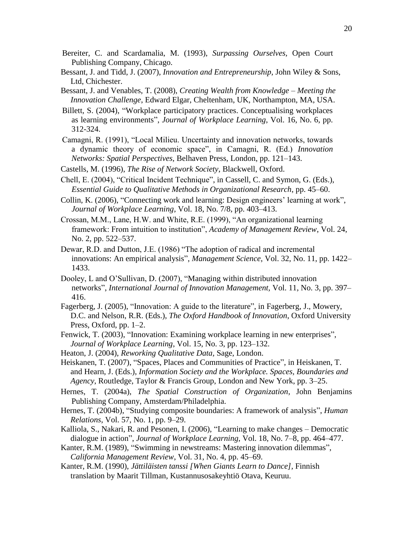- Bereiter, C. and Scardamalia, M. (1993), *Surpassing Ourselves,* Open Court Publishing Company, Chicago.
- Bessant, J. and Tidd, J. (2007), *Innovation and Entrepreneurship*, John Wiley & Sons, Ltd, Chichester.
- Bessant, J. and Venables, T. (2008), *Creating Wealth from Knowledge Meeting the Innovation Challenge*, Edward Elgar, Cheltenham, UK, Northampton, MA, USA.
- Billett, S. (2004), "Workplace participatory practices. Conceptualising workplaces as learning environments", *Journal of Workplace Learning*, Vol. 16, No. 6, pp. 312-324.
- Camagni, R. (1991), "Local Milieu. Uncertainty and innovation networks, towards a dynamic theory of economic space", in Camagni, R. (Ed.) *Innovation Networks: Spatial Perspectives,* Belhaven Press, London, pp. 121–143.
- Castells, M. (1996), *The Rise of Network Society*, Blackwell, Oxford.
- Chell, E. (2004), "Critical Incident Technique", in Cassell, C. and Symon, G. (Eds.), *Essential Guide to Qualitative Methods in Organizational Research*, pp. 45–60.
- Collin, K. (2006), "Connecting work and learning: Design engineers' learning at work", *Journal of Workplace Learning*, Vol. 18, No. 7/8, pp. 403–413.
- Crossan, M.M., Lane, H.W. and White, R.E. (1999), "An organizational learning framework: From intuition to institution", *Academy of Management Review*, Vol. 24, No. 2, pp. 522–537.
- Dewar, R.D. and Dutton, J.E. (1986) "The adoption of radical and incremental innovations: An empirical analysis", *Management Science*, Vol. 32, No. 11, pp. 1422– 1433.
- Dooley, L and O'Sullivan, D. (2007), "Managing within distributed innovation networks", *International Journal of Innovation Management,* Vol. 11, No. 3, pp. 397– 416.
- Fagerberg, J. (2005), "Innovation: A guide to the literature", in Fagerberg, J., Mowery, D.C. and Nelson, R.R. (Eds.), *The Oxford Handbook of Innovation*, Oxford University Press, Oxford, pp. 1–2.
- Fenwick, T. (2003), "Innovation: Examining workplace learning in new enterprises", *Journal of Workplace Learning*, Vol. 15, No. 3, pp. 123–132.
- Heaton, J. (2004), *Reworking Qualitative Data,* Sage, London.
- Heiskanen, T. (2007), "Spaces, Places and Communities of Practice", in Heiskanen, T. and Hearn, J. (Eds.), *Information Society and the Workplace. Spaces, Boundaries and Agency*, Routledge, Taylor & Francis Group, London and New York, pp. 3–25.
- Hernes, T. (2004a), *The Spatial Construction of Organization*, John Benjamins Publishing Company, Amsterdam/Philadelphia.
- Hernes, T. (2004b), "Studying composite boundaries: A framework of analysis", *Human Relations*, Vol. 57, No. 1, pp. 9–29.
- Kalliola, S., Nakari, R. and Pesonen, I. (2006), "Learning to make changes Democratic dialogue in action", *Journal of Workplace Learning*, Vol. 18, No. 7–8, pp. 464–477.
- Kanter, R.M. (1989), "Swimming in newstreams: Mastering innovation dilemmas", *California Management Review*, Vol. 31, No. 4, pp. 45–69.
- Kanter, R.M. (1990), *Jättiläisten tanssi [When Giants Learn to Dance],* Finnish translation by Maarit Tillman, Kustannusosakeyhtiö Otava, Keuruu.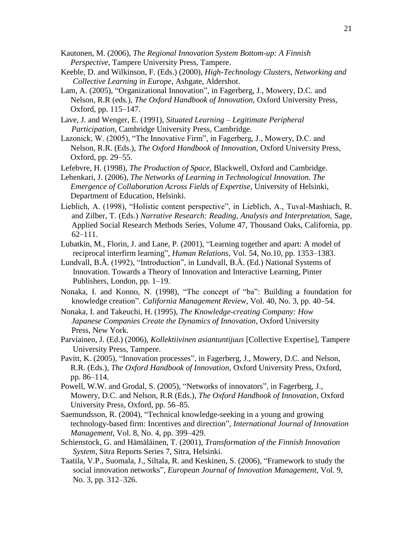- Kautonen, M. (2006), *The Regional Innovation System Bottom-up: A Finnish Perspective*, Tampere University Press, Tampere.
- Keeble, D. and Wilkinson, F. (Eds.) (2000), *High-Technology Clusters, Networking and Collective Learning in Europe*, Ashgate, Aldershot.
- Lam, A. (2005), "Organizational Innovation", in Fagerberg, J., Mowery, D.C. and Nelson, R.R (eds.), *The Oxford Handbook of Innovation*, Oxford University Press, Oxford, pp. 115–147.
- Lave, J. and Wenger, E. (1991), *Situated Learning – Legitimate Peripheral Participation*, Cambridge University Press, Cambridge.
- Lazonick, W. (2005), "The Innovative Firm", in Fagerberg, J., Mowery, D.C. and Nelson, R.R. (Eds.), *The Oxford Handbook of Innovation*, Oxford University Press, Oxford, pp. 29–55.
- Lefebvre, H. (1998), *The Production of Space*, Blackwell, Oxford and Cambridge.
- Lehenkari, J. (2006), *The Networks of Learning in Technological Innovation. The Emergence of Collaboration Across Fields of Expertise,* University of Helsinki, Department of Education, Helsinki.
- Lieblich, A. (1998), "Holistic content perspective", in Lieblich, A., Tuval-Mashiach, R. and Zilber, T. (Eds.) *Narrative Research: Reading, Analysis and Interpretation,* Sage, Applied Social Research Methods Series, Volume 47, Thousand Oaks, California, pp. 62–111.
- Lubatkin, M., Florin, J. and Lane, P. (2001), "Learning together and apart: A model of reciprocal interfirm learning", *Human Relations,* Vol. 54, No.10, pp. 1353–1383.
- Lundvall, B.Å. (1992), "Introduction", in Lundvall, B.Å. (Ed.) National Systems of Innovation. Towards a Theory of Innovation and Interactive Learning, Pinter Publishers, London, pp. 1–19.
- Nonaka, I. and Konno, N. (1998), "The concept of "ba": Building a foundation for knowledge creation". *California Management Review*, Vol. 40, No. 3, pp. 40–54.
- Nonaka, I. and Takeuchi, H. (1995), *The Knowledge-creating Company: How Japanese Companies Create the Dynamics of Innovation*, Oxford University Press, New York.
- Parviainen, J. (Ed.) (2006), *Kollektiivinen asiantuntijuus* [Collective Expertise], Tampere University Press, Tampere.
- Pavitt, K. (2005), "Innovation processes", in Fagerberg, J., Mowery, D.C. and Nelson, R.R. (Eds.), *The Oxford Handbook of Innovation*, Oxford University Press, Oxford, pp. 86–114.
- Powell, W.W. and Grodal, S. (2005), "Networks of innovators", in Fagerberg, J., Mowery, D.C. and Nelson, R.R (Eds.), *The Oxford Handbook of Innovation*, Oxford University Press, Oxford, pp. 56–85.
- Saemundsson, R. (2004), "Technical knowledge-seeking in a young and growing technology-based firm: Incentives and direction", *International Journal of Innovation Management*, Vol. 8, No. 4, pp. 399–429.
- Schienstock, G. and Hämäläinen, T. (2001), *Transformation of the Finnish Innovation System*, Sitra Reports Series 7, Sitra, Helsinki.
- Taatila, V.P., Suomala, J., Siltala, R. and Keskinen, S. (2006), "Framework to study the social innovation networks", *European Journal of Innovation Management,* Vol. 9, No. 3, pp. 312–326.